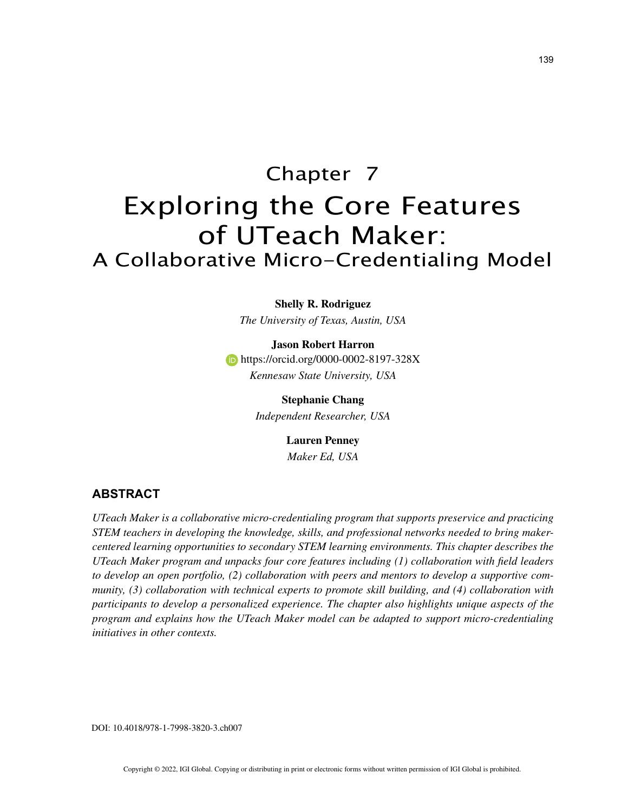# Chapter 7 Exploring the Core Features of UTeach Maker: A Collaborative Micro-Credentialing Model

## **Shelly R. Rodriguez**

*The University of Texas, Austin, USA*

### **Jason Robert Harron**

**https://orcid.org/0000-0002-8197-328X** *Kennesaw State University, USA*

> **Stephanie Chang** *Independent Researcher, USA*

> > **Lauren Penney**

*Maker Ed, USA*

# **ABSTRACT**

*UTeach Maker is a collaborative micro-credentialing program that supports preservice and practicing STEM teachers in developing the knowledge, skills, and professional networks needed to bring makercentered learning opportunities to secondary STEM learning environments. This chapter describes the UTeach Maker program and unpacks four core features including (1) collaboration with field leaders to develop an open portfolio, (2) collaboration with peers and mentors to develop a supportive community, (3) collaboration with technical experts to promote skill building, and (4) collaboration with participants to develop a personalized experience. The chapter also highlights unique aspects of the program and explains how the UTeach Maker model can be adapted to support micro-credentialing initiatives in other contexts.*

DOI: 10.4018/978-1-7998-3820-3.ch007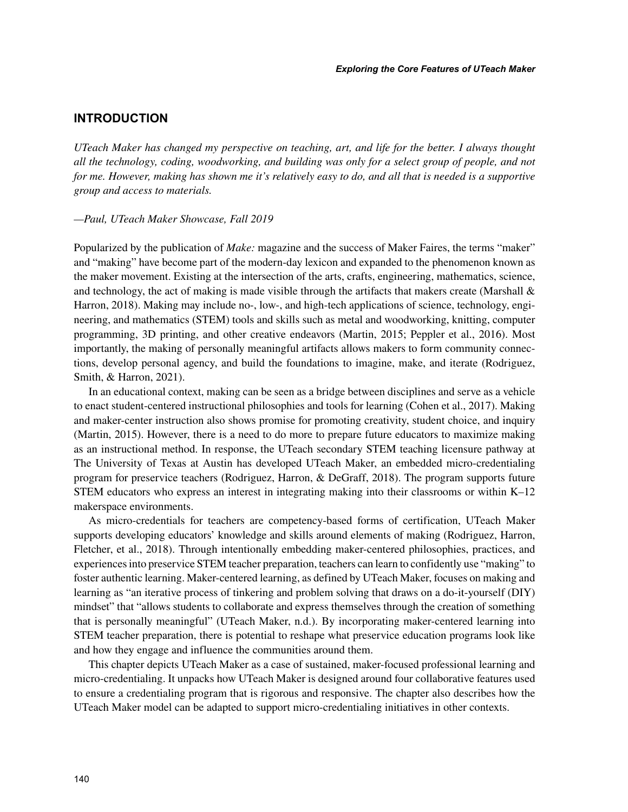# **INTRODUCTION**

*UTeach Maker has changed my perspective on teaching, art, and life for the better. I always thought all the technology, coding, woodworking, and building was only for a select group of people, and not for me. However, making has shown me it's relatively easy to do, and all that is needed is a supportive group and access to materials.*

## *—Paul, UTeach Maker Showcase, Fall 2019*

Popularized by the publication of *Make:* magazine and the success of Maker Faires, the terms "maker" and "making" have become part of the modern-day lexicon and expanded to the phenomenon known as the maker movement. Existing at the intersection of the arts, crafts, engineering, mathematics, science, and technology, the act of making is made visible through the artifacts that makers create (Marshall  $\&$ Harron, 2018). Making may include no-, low-, and high-tech applications of science, technology, engineering, and mathematics (STEM) tools and skills such as metal and woodworking, knitting, computer programming, 3D printing, and other creative endeavors (Martin, 2015; Peppler et al., 2016). Most importantly, the making of personally meaningful artifacts allows makers to form community connections, develop personal agency, and build the foundations to imagine, make, and iterate (Rodriguez, Smith, & Harron, 2021).

In an educational context, making can be seen as a bridge between disciplines and serve as a vehicle to enact student-centered instructional philosophies and tools for learning (Cohen et al., 2017). Making and maker-center instruction also shows promise for promoting creativity, student choice, and inquiry (Martin, 2015). However, there is a need to do more to prepare future educators to maximize making as an instructional method. In response, the UTeach secondary STEM teaching licensure pathway at The University of Texas at Austin has developed UTeach Maker, an embedded micro-credentialing program for preservice teachers (Rodriguez, Harron, & DeGraff, 2018). The program supports future STEM educators who express an interest in integrating making into their classrooms or within K–12 makerspace environments.

As micro-credentials for teachers are competency-based forms of certification, UTeach Maker supports developing educators' knowledge and skills around elements of making (Rodriguez, Harron, Fletcher, et al., 2018). Through intentionally embedding maker-centered philosophies, practices, and experiences into preservice STEM teacher preparation, teachers can learn to confidently use "making" to foster authentic learning. Maker-centered learning, as defined by UTeach Maker, focuses on making and learning as "an iterative process of tinkering and problem solving that draws on a do-it-yourself (DIY) mindset" that "allows students to collaborate and express themselves through the creation of something that is personally meaningful" (UTeach Maker, n.d.). By incorporating maker-centered learning into STEM teacher preparation, there is potential to reshape what preservice education programs look like and how they engage and influence the communities around them.

This chapter depicts UTeach Maker as a case of sustained, maker-focused professional learning and micro-credentialing. It unpacks how UTeach Maker is designed around four collaborative features used to ensure a credentialing program that is rigorous and responsive. The chapter also describes how the UTeach Maker model can be adapted to support micro-credentialing initiatives in other contexts.